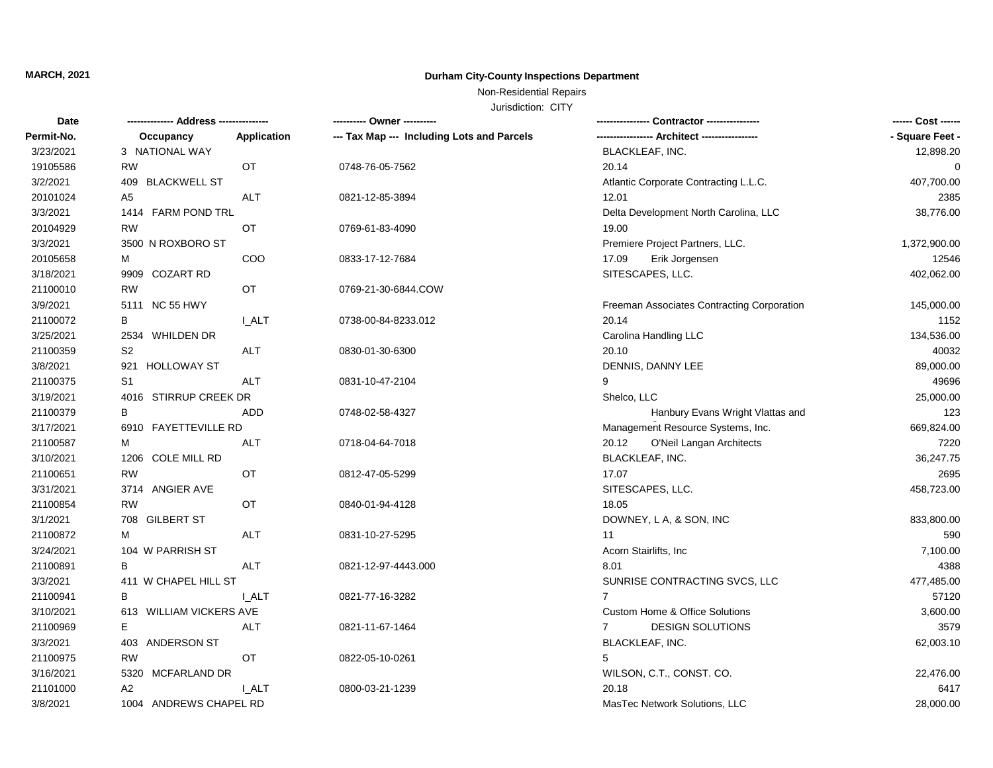# **MARCH, 2021 Durham City-County Inspections Department**

## Non-Residential Repairs

Jurisdiction: CITY

| Date       |                           |              | ---------- Owner ----------                |                                               | ------ Cost ------ |
|------------|---------------------------|--------------|--------------------------------------------|-----------------------------------------------|--------------------|
| Permit-No. | Occupancy                 | Application  | --- Tax Map --- Including Lots and Parcels | ----------------- Architect ----------------- | - Square Feet -    |
| 3/23/2021  | 3 NATIONAL WAY            |              |                                            | BLACKLEAF, INC.                               | 12,898.20          |
| 19105586   | <b>RW</b>                 | <b>OT</b>    | 0748-76-05-7562                            | 20.14                                         | 0                  |
| 3/2/2021   | 409 BLACKWELL ST          |              |                                            | Atlantic Corporate Contracting L.L.C.         | 407,700.00         |
| 20101024   | A5                        | <b>ALT</b>   | 0821-12-85-3894                            | 12.01                                         | 2385               |
| 3/3/2021   | 1414 FARM POND TRL        |              |                                            | Delta Development North Carolina, LLC         | 38,776.00          |
| 20104929   | <b>RW</b>                 | OT           | 0769-61-83-4090                            | 19.00                                         |                    |
| 3/3/2021   | 3500 N ROXBORO ST         |              |                                            | Premiere Project Partners, LLC.               | 1,372,900.00       |
| 20105658   | M                         | COO          | 0833-17-12-7684                            | 17.09<br>Erik Jorgensen                       | 12546              |
| 3/18/2021  | 9909 COZART RD            |              |                                            | SITESCAPES, LLC.                              | 402,062.00         |
| 21100010   | <b>RW</b>                 | OT           | 0769-21-30-6844.COW                        |                                               |                    |
| 3/9/2021   | 5111 NC 55 HWY            |              |                                            | Freeman Associates Contracting Corporation    | 145,000.00         |
| 21100072   | В                         | I ALT        | 0738-00-84-8233.012                        | 20.14                                         | 1152               |
| 3/25/2021  | 2534 WHILDEN DR           |              |                                            | Carolina Handling LLC                         | 134,536.00         |
| 21100359   | S <sub>2</sub>            | <b>ALT</b>   | 0830-01-30-6300                            | 20.10                                         | 40032              |
| 3/8/2021   | <b>HOLLOWAY ST</b><br>921 |              |                                            | DENNIS, DANNY LEE                             | 89,000.00          |
| 21100375   | S <sub>1</sub>            | <b>ALT</b>   | 0831-10-47-2104                            | 9                                             | 49696              |
| 3/19/2021  | 4016 STIRRUP CREEK DR     |              |                                            | Shelco, LLC                                   | 25,000.00          |
| 21100379   | B                         | ADD          | 0748-02-58-4327                            | Hanbury Evans Wright Vlattas and              | 123                |
| 3/17/2021  | 6910 FAYETTEVILLE RD      |              |                                            | Management Resource Systems, Inc.             | 669,824.00         |
| 21100587   | М                         | <b>ALT</b>   | 0718-04-64-7018                            | O'Neil Langan Architects<br>20.12             | 7220               |
| 3/10/2021  | 1206 COLE MILL RD         |              |                                            | BLACKLEAF, INC.                               | 36,247.75          |
| 21100651   | <b>RW</b>                 | OT           | 0812-47-05-5299                            | 17.07                                         | 2695               |
| 3/31/2021  | 3714 ANGIER AVE           |              |                                            | SITESCAPES, LLC.                              | 458,723.00         |
| 21100854   | <b>RW</b>                 | OT           | 0840-01-94-4128                            | 18.05                                         |                    |
| 3/1/2021   | 708 GILBERT ST            |              |                                            | DOWNEY, L A, & SON, INC                       | 833,800.00         |
| 21100872   | м                         | <b>ALT</b>   | 0831-10-27-5295                            | 11                                            | 590                |
| 3/24/2021  | 104 W PARRISH ST          |              |                                            | Acorn Stairlifts, Inc                         | 7,100.00           |
| 21100891   | B                         | <b>ALT</b>   | 0821-12-97-4443.000                        | 8.01                                          | 4388               |
| 3/3/2021   | 411 W CHAPEL HILL ST      |              |                                            | SUNRISE CONTRACTING SVCS, LLC                 | 477,485.00         |
| 21100941   | B                         | <b>I_ALT</b> | 0821-77-16-3282                            | $\overline{7}$                                | 57120              |
| 3/10/2021  | 613 WILLIAM VICKERS AVE   |              |                                            | Custom Home & Office Solutions                | 3,600.00           |
| 21100969   | Е                         | <b>ALT</b>   | 0821-11-67-1464                            | <b>DESIGN SOLUTIONS</b><br>$\mathbf{7}$       | 3579               |
| 3/3/2021   | 403 ANDERSON ST           |              |                                            | BLACKLEAF, INC.                               | 62,003.10          |
| 21100975   | <b>RW</b>                 | OT           | 0822-05-10-0261                            | 5                                             |                    |
| 3/16/2021  | 5320 MCFARLAND DR         |              |                                            | WILSON, C.T., CONST. CO.                      | 22,476.00          |
| 21101000   | A2                        | <b>LALT</b>  | 0800-03-21-1239                            | 20.18                                         | 6417               |
| 3/8/2021   | 1004 ANDREWS CHAPEL RD    |              |                                            | MasTec Network Solutions, LLC                 | 28,000.00          |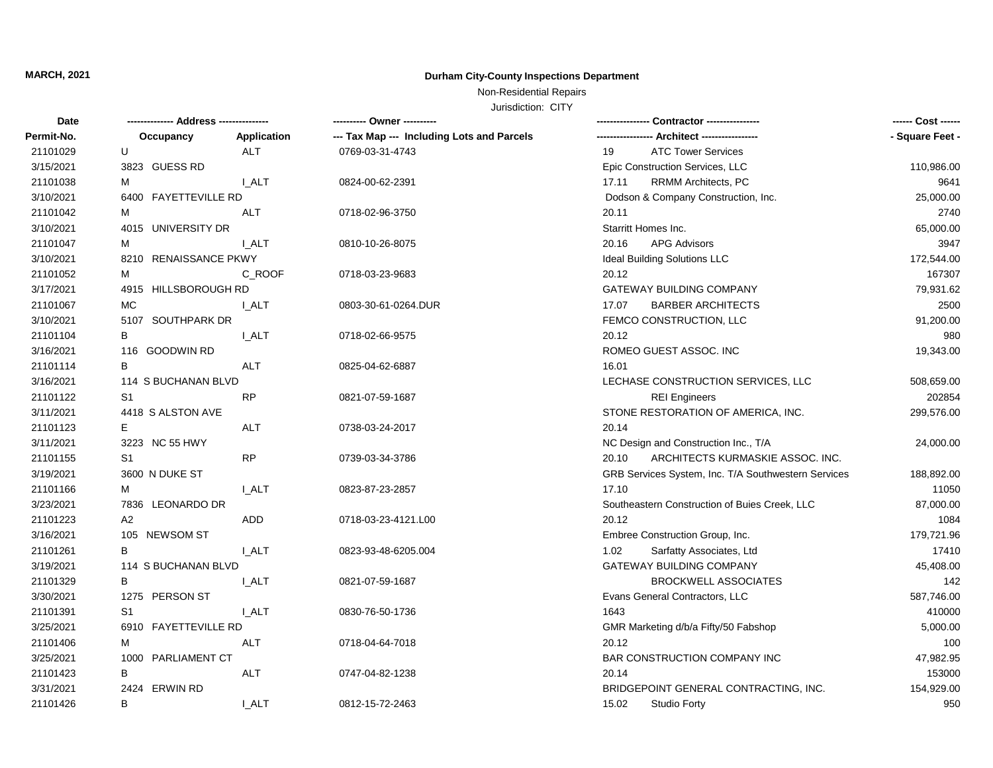# **MARCH, 2021 Durham City-County Inspections Department**

## Non-Residential Repairs

Jurisdiction: CITY

| Date       |                       |              | ---------- Owner ----------                | Contractor ----------------                         | ------ Cost ------ |
|------------|-----------------------|--------------|--------------------------------------------|-----------------------------------------------------|--------------------|
| Permit-No. | Occupancy             | Application  | --- Tax Map --- Including Lots and Parcels | --- Architect -----------------                     | - Square Feet -    |
| 21101029   | U                     | <b>ALT</b>   | 0769-03-31-4743                            | <b>ATC Tower Services</b><br>19                     |                    |
| 3/15/2021  | 3823 GUESS RD         |              |                                            | Epic Construction Services, LLC                     | 110,986.00         |
| 21101038   | м                     | I ALT        | 0824-00-62-2391                            | RRMM Architects, PC<br>17.11                        | 9641               |
| 3/10/2021  | 6400 FAYETTEVILLE RD  |              |                                            | Dodson & Company Construction, Inc.                 | 25,000.00          |
| 21101042   | м                     | <b>ALT</b>   | 0718-02-96-3750                            | 20.11                                               | 2740               |
| 3/10/2021  | 4015 UNIVERSITY DR    |              |                                            | Starritt Homes Inc.                                 | 65,000.00          |
| 21101047   | м                     | <b>LALT</b>  | 0810-10-26-8075                            | <b>APG Advisors</b><br>20.16                        | 3947               |
| 3/10/2021  | 8210 RENAISSANCE PKWY |              |                                            | Ideal Building Solutions LLC                        | 172,544.00         |
| 21101052   | м                     | C_ROOF       | 0718-03-23-9683                            | 20.12                                               | 167307             |
| 3/17/2021  | 4915 HILLSBOROUGH RD  |              |                                            | GATEWAY BUILDING COMPANY                            | 79,931.62          |
| 21101067   | МC                    | I ALT        | 0803-30-61-0264.DUR                        | 17.07<br><b>BARBER ARCHITECTS</b>                   | 2500               |
| 3/10/2021  | 5107 SOUTHPARK DR     |              |                                            | FEMCO CONSTRUCTION, LLC                             | 91,200.00          |
| 21101104   | B                     | <b>LALT</b>  | 0718-02-66-9575                            | 20.12                                               | 980                |
| 3/16/2021  | 116 GOODWIN RD        |              |                                            | ROMEO GUEST ASSOC. INC                              | 19,343.00          |
| 21101114   | B                     | <b>ALT</b>   | 0825-04-62-6887                            | 16.01                                               |                    |
| 3/16/2021  | 114 S BUCHANAN BLVD   |              |                                            | LECHASE CONSTRUCTION SERVICES, LLC                  | 508,659.00         |
| 21101122   | S <sub>1</sub>        | <b>RP</b>    | 0821-07-59-1687                            | <b>REI Engineers</b>                                | 202854             |
| 3/11/2021  | 4418 S ALSTON AVE     |              |                                            | STONE RESTORATION OF AMERICA, INC.                  | 299,576.00         |
| 21101123   | E.                    | <b>ALT</b>   | 0738-03-24-2017                            | 20.14                                               |                    |
| 3/11/2021  | 3223 NC 55 HWY        |              |                                            | NC Design and Construction Inc., T/A                | 24,000.00          |
| 21101155   | S1                    | <b>RP</b>    | 0739-03-34-3786                            | ARCHITECTS KURMASKIE ASSOC. INC.<br>20.10           |                    |
| 3/19/2021  | 3600 N DUKE ST        |              |                                            | GRB Services System, Inc. T/A Southwestern Services | 188,892.00         |
| 21101166   | М                     | <b>I_ALT</b> | 0823-87-23-2857                            | 17.10                                               | 11050              |
| 3/23/2021  | 7836 LEONARDO DR      |              |                                            | Southeastern Construction of Buies Creek, LLC       | 87,000.00          |
| 21101223   | A2                    | ADD.         | 0718-03-23-4121.L00                        | 20.12                                               | 1084               |
| 3/16/2021  | 105 NEWSOM ST         |              |                                            | Embree Construction Group, Inc.                     | 179,721.96         |
| 21101261   | B                     | <b>LALT</b>  | 0823-93-48-6205.004                        | 1.02<br>Sarfatty Associates, Ltd                    | 17410              |
| 3/19/2021  | 114 S BUCHANAN BLVD   |              |                                            | GATEWAY BUILDING COMPANY                            | 45,408.00          |
| 21101329   | B                     | <b>I_ALT</b> | 0821-07-59-1687                            | <b>BROCKWELL ASSOCIATES</b>                         | 142                |
| 3/30/2021  | 1275 PERSON ST        |              |                                            | Evans General Contractors, LLC                      | 587,746.00         |
| 21101391   | S <sub>1</sub>        | I ALT        | 0830-76-50-1736                            | 1643                                                | 410000             |
| 3/25/2021  | 6910 FAYETTEVILLE RD  |              |                                            | GMR Marketing d/b/a Fifty/50 Fabshop                | 5,000.00           |
| 21101406   | м                     | ALT          | 0718-04-64-7018                            | 20.12                                               | 100                |
| 3/25/2021  | 1000 PARLIAMENT CT    |              |                                            | BAR CONSTRUCTION COMPANY INC                        | 47,982.95          |
| 21101423   | B                     | ALT          | 0747-04-82-1238                            | 20.14                                               | 153000             |
| 3/31/2021  | 2424 ERWIN RD         |              |                                            | BRIDGEPOINT GENERAL CONTRACTING, INC.               | 154,929.00         |
| 21101426   | B                     | I ALT        | 0812-15-72-2463                            | 15.02<br>Studio Forty                               | 950                |